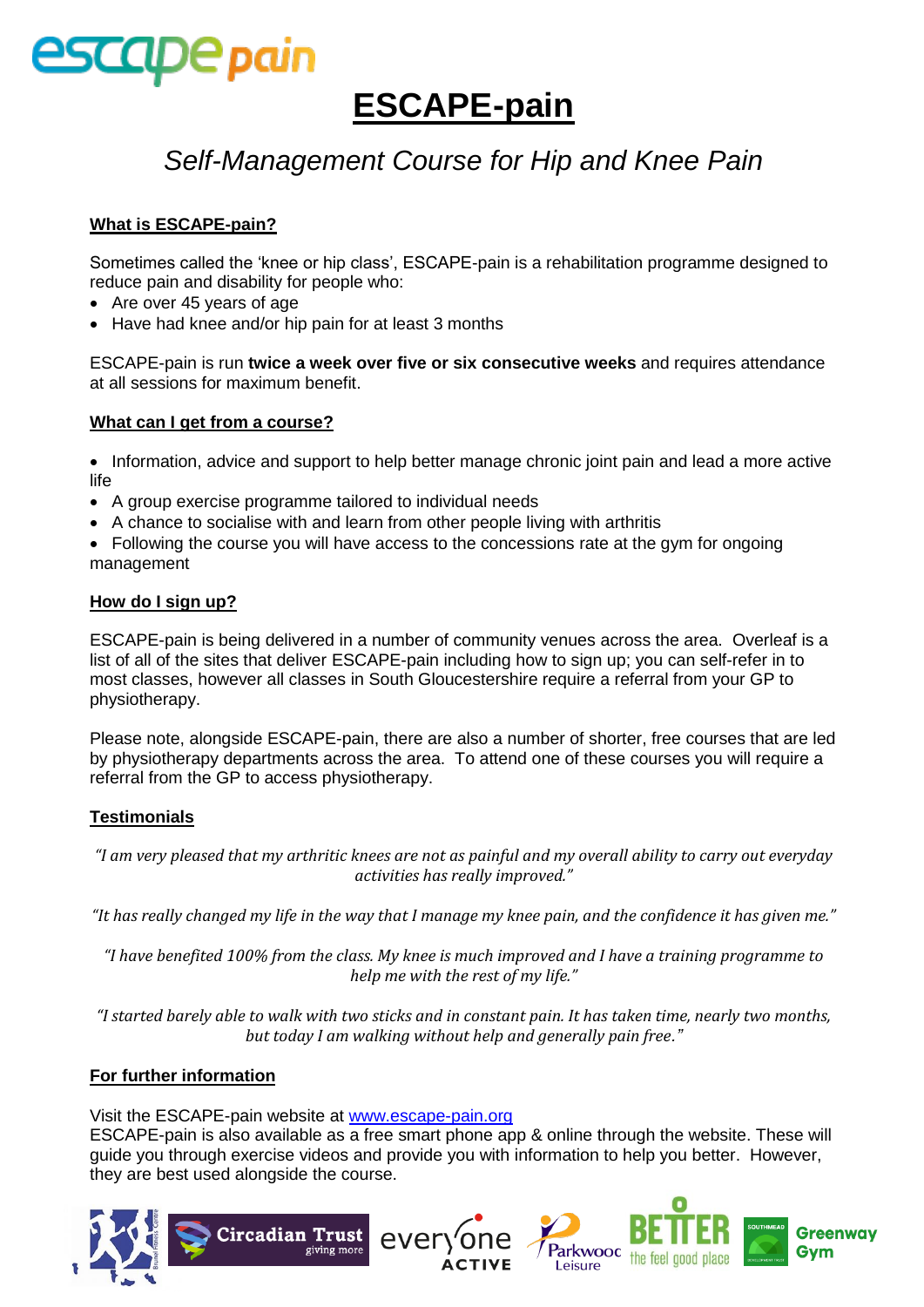

## **ESCAPE-pain**

### *Self-Management Course for Hip and Knee Pain*

#### **What is ESCAPE-pain?**

Sometimes called the 'knee or hip class', ESCAPE-pain is a rehabilitation programme designed to reduce pain and disability for people who:

- Are over 45 years of age
- Have had knee and/or hip pain for at least 3 months

ESCAPE-pain is run **twice a week over five or six consecutive weeks** and requires attendance at all sessions for maximum benefit.

#### **What can I get from a course?**

• Information, advice and support to help better manage chronic joint pain and lead a more active life

- A group exercise programme tailored to individual needs
- A chance to socialise with and learn from other people living with arthritis
- Following the course you will have access to the concessions rate at the gym for ongoing management

#### **How do I sign up?**

ESCAPE-pain is being delivered in a number of community venues across the area. Overleaf is a list of all of the sites that deliver ESCAPE-pain including how to sign up; you can self-refer in to most classes, however all classes in South Gloucestershire require a referral from your GP to physiotherapy.

Please note, alongside ESCAPE-pain, there are also a number of shorter, free courses that are led by physiotherapy departments across the area. To attend one of these courses you will require a referral from the GP to access physiotherapy.

#### **Testimonials**

*"I am very pleased that my arthritic knees are not as painful and my overall ability to carry out everyday activities has really improved."*

*"It has really changed my life in the way that I manage my knee pain, and the confidence it has given me."*

*"I have benefited 100% from the class. My knee is much improved and I have a training programme to help me with the rest of my life."*

*"I started barely able to walk with two sticks and in constant pain. It has taken time, nearly two months, but today I am walking without help and generally pain free."*

#### **For further information**

Visit the ESCAPE-pain website at [www.escape-pain.org](http://www.escape-pain.org/)

ESCAPE-pain is also available as a free smart phone app & online through the website. These will guide you through exercise videos and provide you with information to help you better. However, they are best used alongside the course.